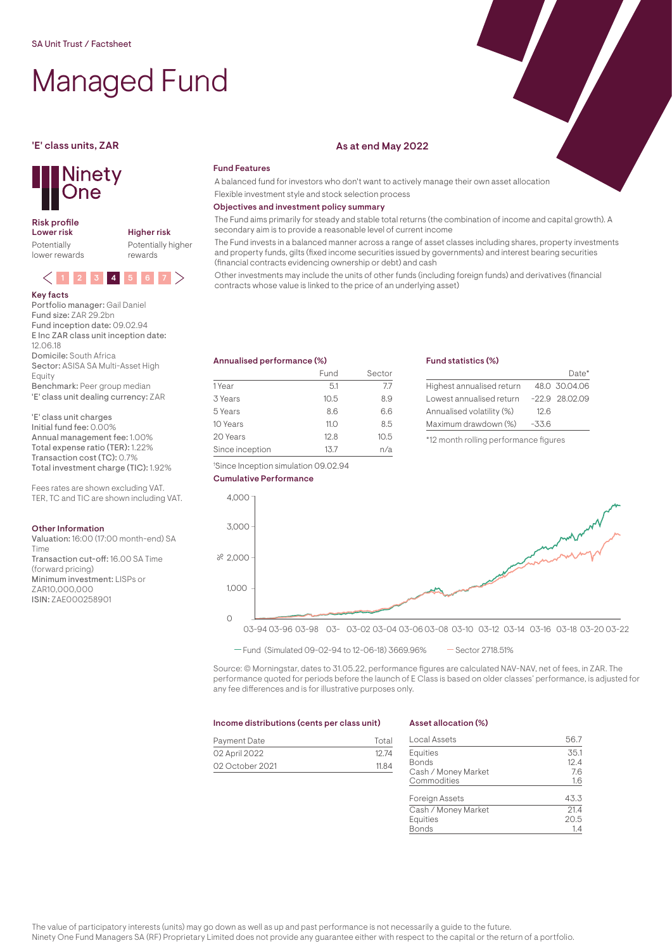# Managed Fund

## **Ninety** One

## Risk profile<br>Lower risk

Potentially lower rewards Higher risk Potentially higher rewards



#### Key facts

Portfolio manager: Gail Daniel Fund size: ZAR 29.2bn Fund inception date: 09.02.94 E Inc ZAR class unit inception date: 12.06.18 Domicile: South Africa Sector: ASISA SA Multi-Asset High Equity Benchmark: Peer group median 'E' class unit dealing currency: ZAR

'E' class unit charges Initial fund fee: 0.00% Annual management fee: 1.00% Total expense ratio (TER): 1.22% Transaction cost (TC): 0.7% Total investment charge (TIC): 1.92%

Fees rates are shown excluding VAT. TER, TC and TIC are shown including VAT.

#### Other Information

Valuation: 16:00 (17:00 month-end) SA Time Transaction cut-off: 16.00 SA Time (forward pricing) Minimum investment: LISPs or ZAR10,000,000 ISIN: ZAE000258901

### 'E' class units, ZAR As at end May 2022

### Fund Features

A balanced fund for investors who don't want to actively manage their own asset allocation Flexible investment style and stock selection process

#### Objectives and investment policy summary

The Fund aims primarily for steady and stable total returns (the combination of income and capital growth). A secondary aim is to provide a reasonable level of current income

The Fund invests in a balanced manner across a range of asset classes including shares, property investments and property funds, gilts (fixed income securities issued by governments) and interest bearing securities (financial contracts evidencing ownership or debt) and cash

Other investments may include the units of other funds (including foreign funds) and derivatives (financial contracts whose value is linked to the price of an underlying asset)

#### Annualised performance (%)

† Since Inception simulation 09.02.94

|                 | Fund | Sector |
|-----------------|------|--------|
| 1 Year          | 5.1  | 7.7    |
| 3 Years         | 10.5 | 8.9    |
| 5 Years         | 86   | 6.6    |
| 10 Years        | 11.0 | 8.5    |
| 20 Years        | 12.8 | 10.5   |
| Since inception | 1.37 | n/a    |

#### Fund statistics (%)

|                           |         | Date*            |
|---------------------------|---------|------------------|
| Highest annualised return |         | 48.0 30.04.06    |
| Lowest annualised return  |         | $-22.9$ 28.02.09 |
| Annualised volatility (%) | 12.6    |                  |
| Maximum drawdown (%)      | $-33.6$ |                  |
|                           |         |                  |

\*12 month rolling performance figures



 $-$  Fund (Simulated 09-02-94 to 12-06-18) 3669.96%  $-$  Sector 2718.51%

Source: © Morningstar, dates to 31.05.22, performance figures are calculated NAV-NAV, net of fees, in ZAR. The performance quoted for periods before the launch of E Class is based on older classes' performance, is adjusted for any fee differences and is for illustrative purposes only.

#### Income distributions (cents per class unit)

### Payment Date Total 02 April 2022 12.74 02 October 2021 11.84

#### Asset allocation (%)

| <b>Local Assets</b>   | 56.7 |
|-----------------------|------|
| Equities              | 35.1 |
| <b>Bonds</b>          | 12.4 |
| Cash / Money Market   | 7.6  |
| Commodities           | 1.6  |
|                       |      |
| <b>Foreign Assets</b> | 43.3 |
| Cash / Money Market   | 21.4 |
| Equities              | 20.5 |
| <b>Bonds</b>          | 1.4  |